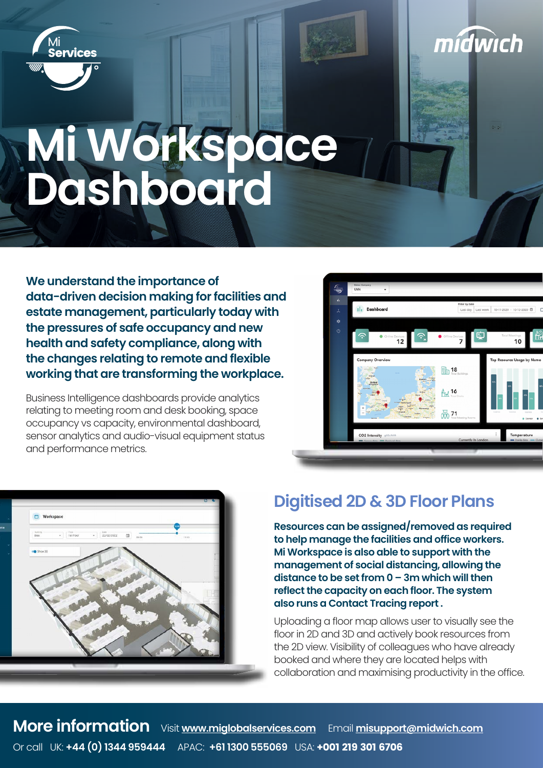

# **Mi Workspace Dashboard**

**We understand the importance of data-driven decision making for facilities and estate management, particularly today with the pressures of safe occupancy and new health and safety compliance, along with the changes relating to remote and flexible working that are transforming the workplace.**

Business Intelligence dashboards provide analytics relating to meeting room and desk booking, space occupancy vs capacity, environmental dashboard, sensor analytics and audio-visual equipment status and performance metrics.



mídwich



#### **Digitised 2D & 3D Floor Plans**

**Resources can be assigned/removed as required to help manage the facilities and office workers. Mi Workspace is also able to support with the management of social distancing, allowing the distance to be set from 0 – 3m which will then reflect the capacity on each floor. The system also runs a Contact Tracing report .** 

Uploading a floor map allows user to visually see the floor in 2D and 3D and actively book resources from the 2D view. Visibility of colleagues who have already booked and where they are located helps with collaboration and maximising productivity in the office.

**More information** Visit **<www.miglobalservices.com>** Email **[misupport@midwich.com](mailto:misupport%40midwich.com?subject=)** Or call UK: **+44 (0) 1344 959444** APAC: **+61 1300 555069** USA: +001 219 301 6706